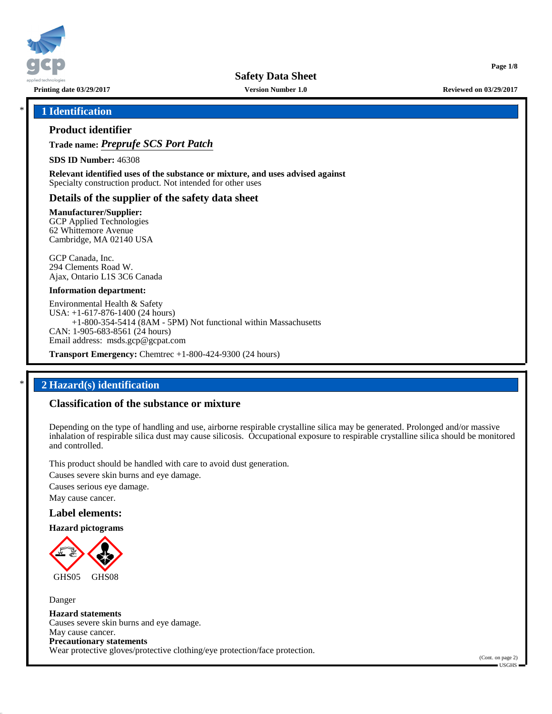

**Printing date 03/29/2017 Version Number 1.0 Reviewed on 03/29/2017**

**Page 1/8**

### \* **1 Identification**

### **Product identifier**

**Trade name:** *Preprufe SCS Port Patch*

**SDS ID Number:** 46308

**Relevant identified uses of the substance or mixture, and uses advised against** Specialty construction product. Not intended for other uses

### **Details of the supplier of the safety data sheet**

**Manufacturer/Supplier:**

GCP Applied Technologies 62 Whittemore Avenue Cambridge, MA 02140 USA

GCP Canada, Inc. 294 Clements Road W. Ajax, Ontario L1S 3C6 Canada

#### **Information department:**

Environmental Health & Safety USA: +1-617-876-1400 (24 hours) +1-800-354-5414 (8AM - 5PM) Not functional within Massachusetts CAN: 1-905-683-8561 (24 hours) Email address: msds.gcp@gcpat.com

**Transport Emergency:** Chemtrec +1-800-424-9300 (24 hours)

## \* **2 Hazard(s) identification**

## **Classification of the substance or mixture**

Depending on the type of handling and use, airborne respirable crystalline silica may be generated. Prolonged and/or massive inhalation of respirable silica dust may cause silicosis. Occupational exposure to respirable crystalline silica should be monitored and controlled.

This product should be handled with care to avoid dust generation.

Causes severe skin burns and eye damage.

Causes serious eye damage.

May cause cancer.

#### **Label elements:**

**Hazard pictograms**



Danger **Hazard statements** Causes severe skin burns and eye damage. May cause cancer. **Precautionary statements** Wear protective gloves/protective clothing/eye protection/face protection.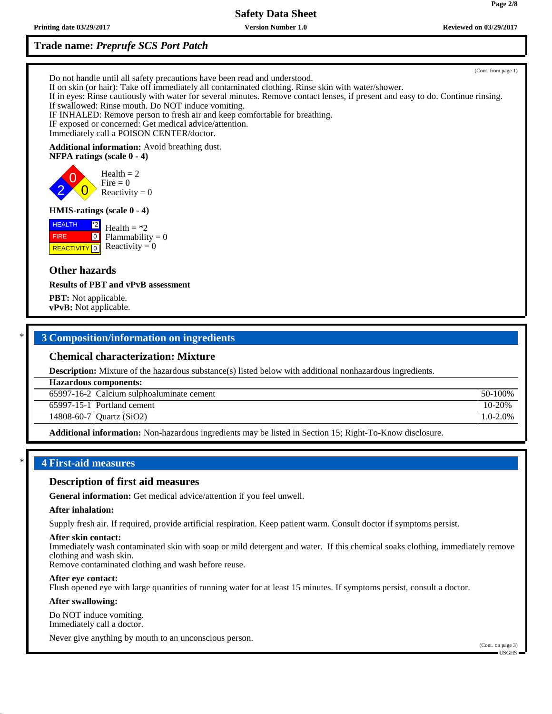**Printing date 03/29/2017 Version Number 1.0 Reviewed on 03/29/2017**

## **Trade name:** *Preprufe SCS Port Patch*

(Cont. from page 1) Do not handle until all safety precautions have been read and understood. If on skin (or hair): Take off immediately all contaminated clothing. Rinse skin with water/shower. If in eyes: Rinse cautiously with water for several minutes. Remove contact lenses, if present and easy to do. Continue rinsing. If swallowed: Rinse mouth. Do NOT induce vomiting.

IF INHALED: Remove person to fresh air and keep comfortable for breathing.

IF exposed or concerned: Get medical advice/attention.

Immediately call a POISON CENTER/doctor.

#### **Additional information:** Avoid breathing dust.

**NFPA ratings (scale 0 - 4)**

0  $\overline{\mathbf{0}}$  $Health = 2$ Fire  $= 0$ Reactivity  $= 0$ 

#### **HMIS-ratings (scale 0 - 4)**



2

Health  $=$  \*2  $Flammability = 0$ Reactivity  $= 0$ 

## **Other hazards**

**Results of PBT and vPvB assessment**

**PBT:** Not applicable. **vPvB:** Not applicable.

### \* **3 Composition/information on ingredients**

### **Chemical characterization: Mixture**

**Description:** Mixture of the hazardous substance(s) listed below with additional nonhazardous ingredients.

**Hazardous components:**

65997-16-2 Calcium sulphoaluminate cement 50-100%

65997-15-1 Portland cement 10-20%

14808-60-7 Quartz (SiO2) 1.0-2.0%

**Additional information:** Non-hazardous ingredients may be listed in Section 15; Right-To-Know disclosure.

## \* **4 First-aid measures**

### **Description of first aid measures**

**General information:** Get medical advice/attention if you feel unwell.

#### **After inhalation:**

Supply fresh air. If required, provide artificial respiration. Keep patient warm. Consult doctor if symptoms persist.

#### **After skin contact:**

Immediately wash contaminated skin with soap or mild detergent and water. If this chemical soaks clothing, immediately remove clothing and wash skin.

Remove contaminated clothing and wash before reuse.

#### **After eye contact:**

Flush opened eye with large quantities of running water for at least 15 minutes. If symptoms persist, consult a doctor.

#### **After swallowing:**

Do NOT induce vomiting. Immediately call a doctor.

Never give anything by mouth to an unconscious person.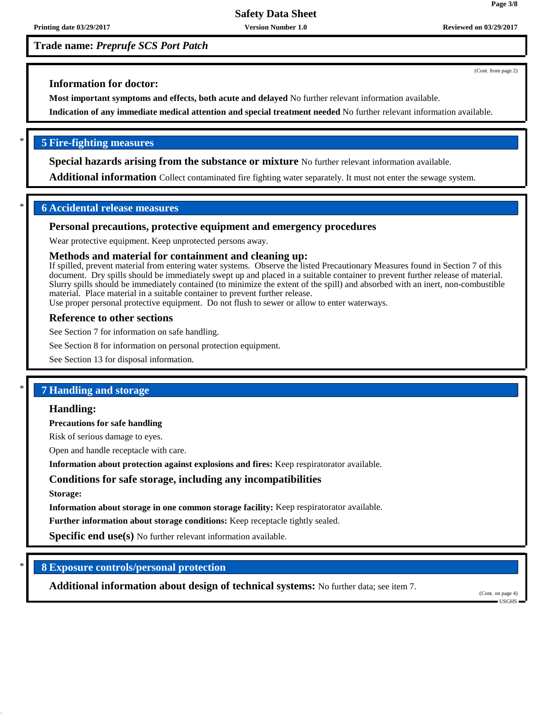**Trade name:** *Preprufe SCS Port Patch*

(Cont. from page 2)

## **Information for doctor:**

**Most important symptoms and effects, both acute and delayed** No further relevant information available.

**Indication of any immediate medical attention and special treatment needed** No further relevant information available.

## \* **5 Fire-fighting measures**

**Special hazards arising from the substance or mixture** No further relevant information available.

**Additional information** Collect contaminated fire fighting water separately. It must not enter the sewage system.

## \* **6 Accidental release measures**

## **Personal precautions, protective equipment and emergency procedures**

Wear protective equipment. Keep unprotected persons away.

## **Methods and material for containment and cleaning up:**

If spilled, prevent material from entering water systems. Observe the listed Precautionary Measures found in Section 7 of this document. Dry spills should be immediately swept up and placed in a suitable container to prevent further release of material. Slurry spills should be immediately contained (to minimize the extent of the spill) and absorbed with an inert, non-combustible material. Place material in a suitable container to prevent further release.

Use proper personal protective equipment. Do not flush to sewer or allow to enter waterways.

## **Reference to other sections**

See Section 7 for information on safe handling.

See Section 8 for information on personal protection equipment.

See Section 13 for disposal information.

## \* **7 Handling and storage**

### **Handling:**

**Precautions for safe handling**

Risk of serious damage to eyes.

Open and handle receptacle with care.

**Information about protection against explosions and fires:** Keep respiratorator available.

## **Conditions for safe storage, including any incompatibilities**

**Storage:**

**Information about storage in one common storage facility:** Keep respiratorator available.

**Further information about storage conditions:** Keep receptacle tightly sealed.

**Specific end use(s)** No further relevant information available.

## \* **8 Exposure controls/personal protection**

**Additional information about design of technical systems:** No further data; see item 7.

(Cont. on page 4) USGHS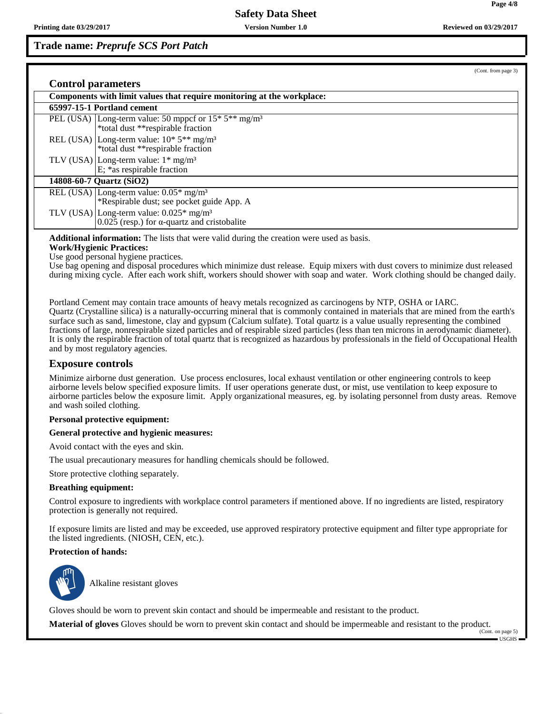**Trade name:** *Preprufe SCS Port Patch*

| (Cont. from page 3)                                                                                            |
|----------------------------------------------------------------------------------------------------------------|
| <b>Control parameters</b>                                                                                      |
| Components with limit values that require monitoring at the workplace:                                         |
| 65997-15-1 Portland cement                                                                                     |
| PEL (USA)   Long-term value: 50 mppcf or $15*5**$ mg/m <sup>3</sup><br>*total dust **respirable fraction       |
| REL (USA) Long-term value: $10^*$ 5 <sup>**</sup> mg/m <sup>3</sup><br>*total dust **respirable fraction       |
| TLV (USA) Long-term value: $1*$ mg/m <sup>3</sup><br>E; *as respirable fraction                                |
| 14808-60-7 Quartz (SiO2)                                                                                       |
| REL (USA) Long-term value: $0.05*$ mg/m <sup>3</sup><br>*Respirable dust; see pocket guide App. A              |
| TLV (USA) Long-term value: $0.025*$ mg/m <sup>3</sup><br>$0.025$ (resp.) for $\alpha$ -quartz and cristobalite |

**Additional information:** The lists that were valid during the creation were used as basis.

**Work/Hygienic Practices:**

Use good personal hygiene practices.

Use bag opening and disposal procedures which minimize dust release. Equip mixers with dust covers to minimize dust released during mixing cycle. After each work shift, workers should shower with soap and water. Work clothing should be changed daily.

Portland Cement may contain trace amounts of heavy metals recognized as carcinogens by NTP, OSHA or IARC. Quartz (Crystalline silica) is a naturally-occurring mineral that is commonly contained in materials that are mined from the earth's surface such as sand, limestone, clay and gypsum (Calcium sulfate). Total quartz is a value usually representing the combined fractions of large, nonrespirable sized particles and of respirable sized particles (less than ten microns in aerodynamic diameter). It is only the respirable fraction of total quartz that is recognized as hazardous by professionals in the field of Occupational Health and by most regulatory agencies.

#### **Exposure controls**

Minimize airborne dust generation. Use process enclosures, local exhaust ventilation or other engineering controls to keep airborne levels below specified exposure limits. If user operations generate dust, or mist, use ventilation to keep exposure to airborne particles below the exposure limit. Apply organizational measures, eg. by isolating personnel from dusty areas. Remove and wash soiled clothing.

#### **Personal protective equipment:**

#### **General protective and hygienic measures:**

Avoid contact with the eyes and skin.

The usual precautionary measures for handling chemicals should be followed.

Store protective clothing separately.

#### **Breathing equipment:**

Control exposure to ingredients with workplace control parameters if mentioned above. If no ingredients are listed, respiratory protection is generally not required.

If exposure limits are listed and may be exceeded, use approved respiratory protective equipment and filter type appropriate for the listed ingredients. (NIOSH, CEN, etc.).

#### **Protection of hands:**



\_SAlkaline resistant gloves

Gloves should be worn to prevent skin contact and should be impermeable and resistant to the product.

**Material of gloves** Gloves should be worn to prevent skin contact and should be impermeable and resistant to the product. (Cont. on page 5)

USGHS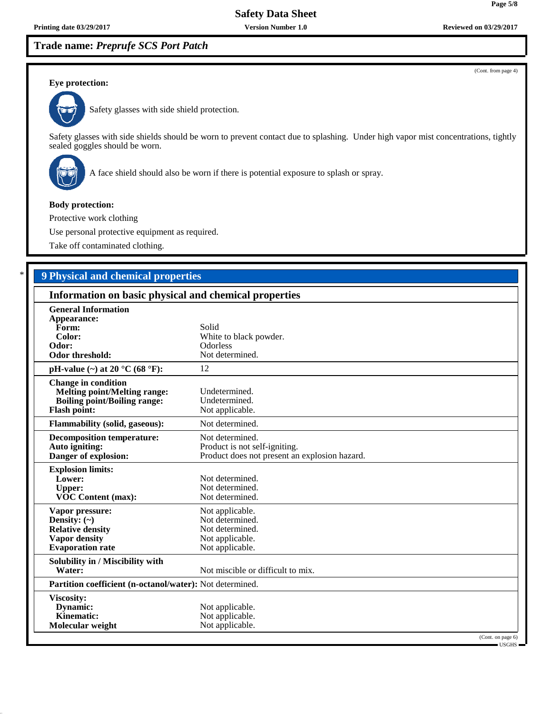## **Trade name:** *Preprufe SCS Port Patch*

(Cont. from page 4)

### **Eye protection:**



Safety glasses with side shield protection.

Safety glasses with side shields should be worn to prevent contact due to splashing. Under high vapor mist concentrations, tightly sealed goggles should be worn.



A face shield should also be worn if there is potential exposure to splash or spray.

### **Body protection:**

Protective work clothing

Use personal protective equipment as required.

Take off contaminated clothing.

## \* **9 Physical and chemical properties**

| Information on basic physical and chemical properties                                                                           |                                                                                                   |  |  |
|---------------------------------------------------------------------------------------------------------------------------------|---------------------------------------------------------------------------------------------------|--|--|
| <b>General Information</b><br>Appearance:<br>Form:<br>Color:<br>Odor:<br><b>Odor threshold:</b>                                 | Solid<br>White to black powder.<br><b>Odorless</b><br>Not determined.                             |  |  |
| pH-value (~) at 20 $^{\circ}$ C (68 $^{\circ}$ F):                                                                              | 12                                                                                                |  |  |
| <b>Change in condition</b><br><b>Melting point/Melting range:</b><br><b>Boiling point/Boiling range:</b><br><b>Flash point:</b> | Undetermined.<br>Undetermined.<br>Not applicable.                                                 |  |  |
| <b>Flammability (solid, gaseous):</b>                                                                                           | Not determined.                                                                                   |  |  |
| <b>Decomposition temperature:</b><br>Auto igniting:<br>Danger of explosion:                                                     | Not determined.<br>Product is not self-igniting.<br>Product does not present an explosion hazard. |  |  |
| <b>Explosion limits:</b><br>Lower:<br><b>Upper:</b><br><b>VOC Content (max):</b>                                                | Not determined.<br>Not determined.<br>Not determined.                                             |  |  |
| Vapor pressure:<br>Density: $(\sim)$<br><b>Relative density</b><br><b>Vapor density</b><br><b>Evaporation</b> rate              | Not applicable.<br>Not determined.<br>Not determined.<br>Not applicable.<br>Not applicable.       |  |  |
| Solubility in / Miscibility with<br>Water:                                                                                      | Not miscible or difficult to mix.                                                                 |  |  |
| Partition coefficient (n-octanol/water): Not determined.                                                                        |                                                                                                   |  |  |
| Viscosity:<br>Dynamic:<br><b>Kinematic:</b><br>Molecular weight                                                                 | Not applicable.<br>Not applicable.<br>Not applicable.<br>(Cont. on page 6)                        |  |  |
|                                                                                                                                 | $-$ USGHS $-$                                                                                     |  |  |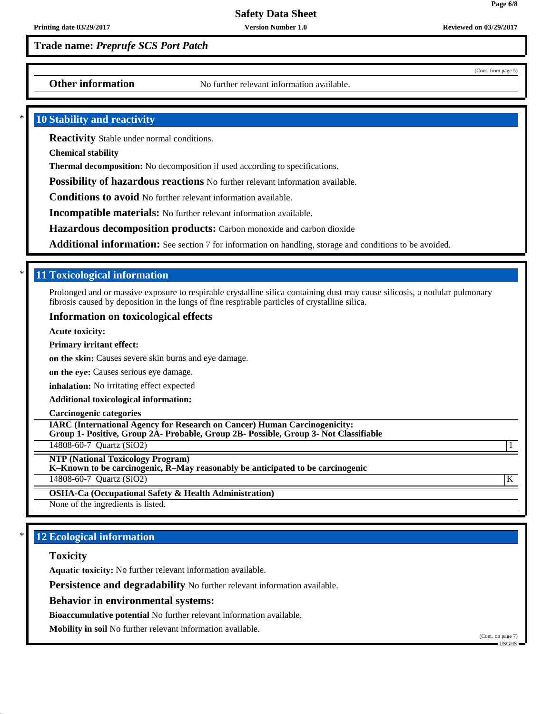**Page 6/8**

(Cont. from page 5)

## **Trade name:** *Preprufe SCS Port Patch*

**Other information** No further relevant information available.

### **10 Stability and reactivity**

**Reactivity** Stable under normal conditions.

**Chemical stability**

**Thermal decomposition:** No decomposition if used according to specifications.

**Possibility of hazardous reactions** No further relevant information available.

**Conditions to avoid** No further relevant information available.

**Incompatible materials:** No further relevant information available.

**Hazardous decomposition products:** Carbon monoxide and carbon dioxide

**Additional information:** See section 7 for information on handling, storage and conditions to be avoided.

## \* **11 Toxicological information**

Prolonged and or massive exposure to respirable crystalline silica containing dust may cause silicosis, a nodular pulmonary fibrosis caused by deposition in the lungs of fine respirable particles of crystalline silica.

### **Information on toxicological effects**

**Acute toxicity:**

**Primary irritant effect:**

**on the skin:** Causes severe skin burns and eye damage.

**on the eye:** Causes serious eye damage.

**inhalation:** No irritating effect expected

**Additional toxicological information:**

#### **Carcinogenic categories**

**IARC (International Agency for Research on Cancer) Human Carcinogenicity:**

**Group 1- Positive, Group 2A- Probable, Group 2B- Possible, Group 3- Not Classifiable**

14808-60-7 Quartz (SiO2) 1

**NTP (National Toxicology Program)**

**K–Known to be carcinogenic, R–May reasonably be anticipated to be carcinogenic**

14808-60-7 Quartz (SiO2) K

**OSHA-Ca (Occupational Safety & Health Administration)**

None of the ingredients is listed.

## **12 Ecological information**

### **Toxicity**

**Aquatic toxicity:** No further relevant information available.

**Persistence and degradability** No further relevant information available.

**Behavior in environmental systems:**

**Bioaccumulative potential** No further relevant information available.

**Mobility in soil** No further relevant information available.

(Cont. on page 7) USGHS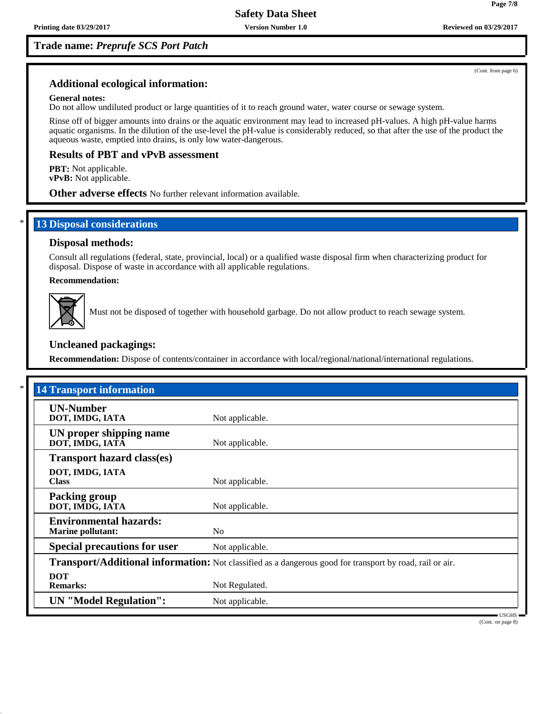**Trade name:** *Preprufe SCS Port Patch*

(Cont. from page 6)

**Page 7/8**

## **Additional ecological information:**

#### **General notes:**

Do not allow undiluted product or large quantities of it to reach ground water, water course or sewage system.

Rinse off of bigger amounts into drains or the aquatic environment may lead to increased pH-values. A high pH-value harms aquatic organisms. In the dilution of the use-level the pH-value is considerably reduced, so that after the use of the product the aqueous waste, emptied into drains, is only low water-dangerous.

### **Results of PBT and vPvB assessment**

**PBT:** Not applicable. **vPvB:** Not applicable.

**Other adverse effects** No further relevant information available.

## **13 Disposal considerations**

### **Disposal methods:**

Consult all regulations (federal, state, provincial, local) or a qualified waste disposal firm when characterizing product for disposal. Dispose of waste in accordance with all applicable regulations.

**Recommendation:**



Must not be disposed of together with household garbage. Do not allow product to reach sewage system.

### **Uncleaned packagings:**

**Recommendation:** Dispose of contents/container in accordance with local/regional/national/international regulations.

| <b>14 Transport information</b>                           |                                                                                                          |
|-----------------------------------------------------------|----------------------------------------------------------------------------------------------------------|
| <b>UN-Number</b><br>DOT, IMDG, IATA                       | Not applicable.                                                                                          |
| UN proper shipping name<br>DOT, IMDG, IATA                | Not applicable.                                                                                          |
| <b>Transport hazard class(es)</b>                         |                                                                                                          |
| DOT, IMDG, IATA<br><b>Class</b>                           | Not applicable.                                                                                          |
| <b>Packing group</b><br>DOT, IMDG, IATA                   | Not applicable.                                                                                          |
| <b>Environmental hazards:</b><br><b>Marine pollutant:</b> | N <sub>o</sub>                                                                                           |
| <b>Special precautions for user</b>                       | Not applicable.                                                                                          |
|                                                           | Transport/Additional information: Not classified as a dangerous good for transport by road, rail or air. |
| <b>DOT</b><br><b>Remarks:</b>                             | Not Regulated.                                                                                           |
| <b>UN</b> "Model Regulation":                             | Not applicable.                                                                                          |

(Cont. on page 8)